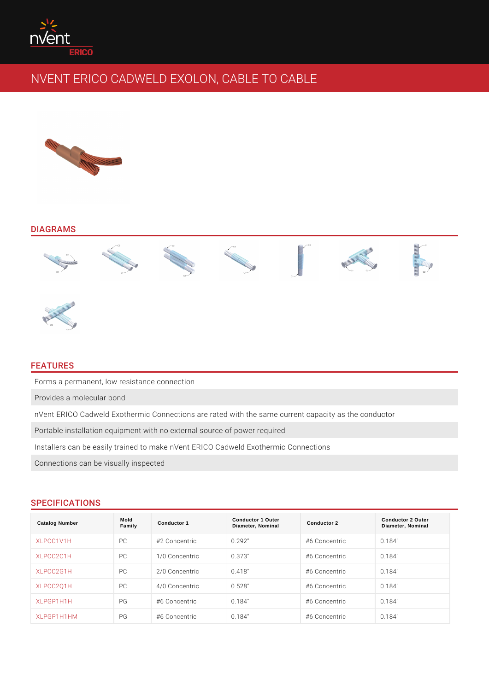### DIAGRAMS

# FEATURES

Forms a permanent, low resistance connection Provides a molecular bond nVent ERICO Cadweld Exothermic Connections are rated with the same current o Portable installation equipment with no external source of power required Installers can be easily trained to make nVent ERICO Cadweld Exothermic Conn

Connections can be visually inspected

### SPECIFICATIONS

| Catalog Number | Mold<br>Family | Conductor 1    | Conductor 1 Outer<br>Diameter, Nominal | Conductor 2   | Conductor 2 Outer<br>Diameter, Nominal |
|----------------|----------------|----------------|----------------------------------------|---------------|----------------------------------------|
| XLPCC1V1H      | P C            | #2 Concentric  | 0.292"                                 | #6 Concentric | 0.184"                                 |
| XLPCC2C1H      | P C            | 1/0 Concentric | 0.373"                                 | #6 Concentric | 0.184"                                 |
| XLPCC2G1H      | P C            | 2/0 Concentric | 0.418"                                 | #6 Concentric | 0.184"                                 |
| XLPCC2Q1H      | P C            | 4/0 Concentric | 0.528"                                 | #6 Concentric | 0.184"                                 |
| XLPGP1H1H      | P G            | #6 Concentric  | 0.184"                                 | #6 Concentric | 0.184"                                 |
| XLPGP1H1HM     | P G            | #6 Concentric  | 0.184"                                 | #6 Concentric | 0.184"                                 |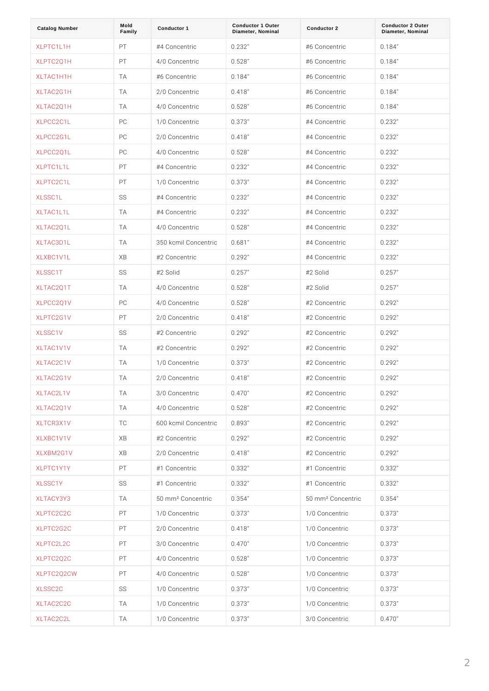| Catalog Number    | Mold<br>Family | Conductor 1                        | Conductor 1 Outer<br>Diameter, Nominal | Conductor 2                      | Conductor 2 Outer<br>Diameter, Nominal |
|-------------------|----------------|------------------------------------|----------------------------------------|----------------------------------|----------------------------------------|
| XLPTC1L1H         | PT.            | #4 Concentric                      | 0.232"                                 | #6 Concentric                    | 0.184"                                 |
| XLPTC2Q1H         | P T            | 4/0 Concentric                     | 0.528"                                 | #6 Concentric                    | 0.184"                                 |
| XLTAC1H1H         | T A            | #6 Concentric                      | 0.184"                                 | #6 Concentric                    | 0.184"                                 |
| XLTAC2G1H         | T A            | 2/0 Concentric                     | 0.418"                                 | #6 Concentric                    | 0.184"                                 |
| XLTAC2Q1H         | T A            | 4/0 Concentric 0.528"              |                                        | #6 Concentric                    | 0.184"                                 |
| XLPCC2C1L         | P C            | 1/0 Concentric 0.373"              |                                        | #4 Concentric                    | 0.232"                                 |
| XLPCC2G1L         | P C            | 2/0 Concentric 0.418"              |                                        | #4 Concentric                    | 0.232"                                 |
| XLPCC2Q1L         | P C            | 4/0 Concentric                     | 0.528"                                 | #4 Concentric                    | 0.232"                                 |
| XLPTC1L1L         | PT.            | #4 Concentric                      | 0.232"                                 | #4 Concentric                    | 0.232"                                 |
| XLPTC2C1L         | P T            | 1/0 Concentric                     | 0.373"                                 | #4 Concentric                    | 0.232"                                 |
| XLSSC1L           | S S            | #4 Concentric                      | 0.232"                                 | #4 Concentric                    | 0.232"                                 |
| XLTAC1L1L         | T A            | #4 Concentric                      | 0.232"                                 | #4 Concentric                    | 0.232"                                 |
| XLTAC2Q1L         | T A            | 4/0 Concentric                     | 0.528"                                 | #4 Concentric                    | 0.232"                                 |
| XLTAC3D1L         | T A            | 350 kcmil Conce0nt6r8d"            |                                        | #4 Concentric                    | 0.232"                                 |
| XLXBC1V1L         | X B            | #2 Concentric                      | 0.292"                                 | #4 Concentric                    | 0.232"                                 |
| XLSSC1T           | S S            | #2 Solid                           | 0.257"                                 | #2 Solid                         | 0.257"                                 |
| XLTAC2Q1T         | T A            | 4/0 Concentric                     | 0.528"                                 | #2 Solid                         | 0.257"                                 |
| XLPCC2Q1V         | P C            | 4/0 Concentric 0.528"              |                                        | #2 Concentric                    | 0.292"                                 |
| XLPTC2G1V         | P T            | 2/0 Concentric 0.418"              |                                        | #2 Concentric                    | 0.292"                                 |
| XLSSC1V           | S S            | #2 Concentric                      | 0.292"                                 | #2 Concentric                    | 0.292"                                 |
| XLTAC1V1V         | T A            | #2 Concentric                      | 0.292"                                 | #2 Concentric                    | 0.292"                                 |
| XLTAC2C1V         | T A            | 1/0 Concentric                     | 0.373"                                 | #2 Concentric                    | 0.292"                                 |
| XLTAC2G1V         | T A            | 2/0 Concentric 0.418"              |                                        | #2 Concentric                    | 0.292"                                 |
| XLTAC2L1V         | T A            | 3/0 Concentric 0.470"              |                                        | #2 Concentric                    | 0.292"                                 |
| XLTAC2Q1V         | T A            | 4/0 Concentric 0.528"              |                                        | #2 Concentric                    | 0.292"                                 |
| XLTCR3X1V         | T C            | 600 kcmil Conce0nt8r963"           |                                        | #2 Concentric                    | 0.292"                                 |
| XLXBC1V1V         | X B            | #2 Concentric                      | 0.292"                                 | #2 Concentric                    | 0.292"                                 |
| XLXBM2G1V         | X B            | 2/0 Concentric 0.418"              |                                        | #2 Concentric                    | 0.292"                                 |
| XLPTC1Y1Y         | PT             | #1 Concentric                      | 0.332"                                 | #1 Concentric                    | 0.332"                                 |
| XLSSC1Y           | S S            | #1 Concentric                      | 0.332"                                 | #1 Concentric                    | 0.332"                                 |
| X L T A C Y 3 Y 3 | T A            | 50 mm <sup>2</sup> Concent 0i 354" |                                        | 50 mm <sup>2</sup> Concent0i&54" |                                        |
| XLPTC2C2C         | P T            | 1/0 Concentric 0.373"              |                                        | 1/0 Concentric 0.373"            |                                        |
| XLPTC2G2C         | PT             | 2/0 Concentric 0.418"              |                                        | 1/0 Concentric 0.373"            |                                        |
| XLPTC2L2C         | P T            | 3/0 Concentric 0.470"              |                                        | 1/0 Concentric 0.373"            |                                        |
| XLPTC2Q2C         | P T            | 4/0 Concentric 0.528"              |                                        | 1/0 Concentric 0.373"            |                                        |
| XLPTC2Q2CW        | P T            | 4/0 Concentric 0.528"              |                                        | 1/0 Concentric 0.373"            |                                        |
| XLSSC2C           | S S            | 1/0 Concentric 0.373"              |                                        | 1/0 Concentric 0.373"            |                                        |
| XLTAC2C2C         | T A            | 1/0 Concentric 0.373"              |                                        | 1/0 Concentric 0.373"            |                                        |
| XLTAC2C2L         | T A            | 1/0 Concentric 0.373"              |                                        | 3/0 Concentric 0.470"            |                                        |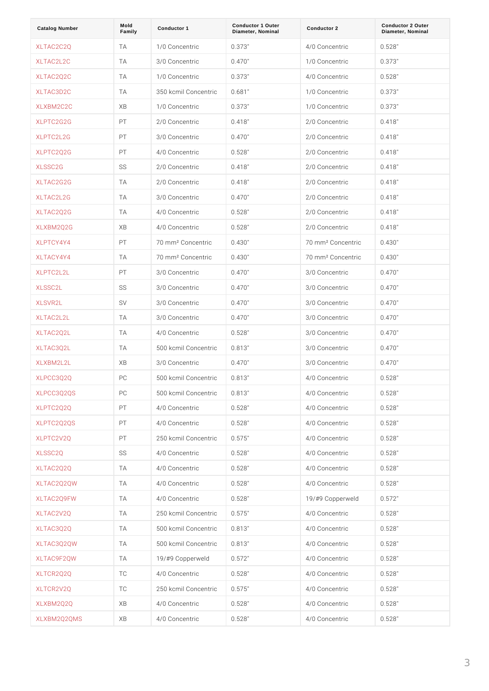| Catalog Number      | Mold<br>Family | Conductor 1                        | Conductor 1 Outer<br>Diameter, Nominal | Conductor 2                        | Conductor 2 Outer<br>Diameter, Nominal |
|---------------------|----------------|------------------------------------|----------------------------------------|------------------------------------|----------------------------------------|
| XLTAC2C2Q           | T A            | 1/0 Concentric 0.373"              |                                        | 4/0 Concentric 0.528"              |                                        |
| XLTAC2L2C           | T A            | 3/0 Concentric 0.470"              |                                        | 1/0 Concentric 0.373"              |                                        |
| XLTAC2Q2C           | T A            | 1/0 Concentric 0.373"              |                                        | 4/0 Concentric 0.528"              |                                        |
| XLTAC3D2C           | T A            | 350 kcmil Conce0nt6r8d"            |                                        | 1/0 Concentric                     | 0.373"                                 |
| XLXBM2C2C           | XB             | 1/0 Concentric 0.373"              |                                        | 1/0 Concentric 0.373"              |                                        |
| XLPTC2G2G           | P T            | 2/0 Concentric 0.418"              |                                        | 2/0 Concentric                     | $0.418$ "                              |
| XLPTC2L2G           | P T            | 3/0 Concentric 0.470"              |                                        | 2/0 Concentric                     | 0.418"                                 |
| XLPTC2Q2G           | P T            | 4/0 Concentric 0.528"              |                                        | 2/0 Concentric                     | 0.418"                                 |
| XLSSC2G             | S S            | 2/0 Concentric 0.418"              |                                        | 2/0 Concentric                     | 0.418"                                 |
| XLTAC2G2G           | T A            | 2/0 Concentric                     | 0.418"                                 | 2/0 Concentric                     | 0.418"                                 |
| XLTAC2L2G           | T A            | 3/0 Concentric                     | 0.470"                                 | 2/0 Concentric                     | 0.418"                                 |
| XLTAC2Q2G           | T A            | 4/0 Concentric                     | 0.528"                                 | 2/0 Concentric 0.418"              |                                        |
| XLXBM2Q2G           | XB             | 4/0 Concentric 0.528"              |                                        | 2/0 Concentric 0.418"              |                                        |
| XLPTCY4Y4           | PT.            | 70 mm <sup>2</sup> Concent 0id 30" |                                        | 70 mm <sup>2</sup> Concent 0id 30" |                                        |
| XLTACY4Y4           | T A            | 70 mm <sup>2</sup> Concent 0id 30" |                                        | 70 mm <sup>2</sup> Concent 0id 30" |                                        |
| XLPTC2L2L           | P T            | 3/0 Concentric 0.470"              |                                        | 3/0 Concentric 0.470"              |                                        |
| XLSSC2L             | S S            | 3/0 Concentric 0.470"              |                                        | 3/0 Concentric                     | 0.470"                                 |
| XLSVR2L             | S V            | 3/0 Concentric 0.470"              |                                        | 3/0 Concentric 0.470"              |                                        |
| XLTAC2L2L           | T A            | 3/0 Concentric 0.470"              |                                        | 3/0 Concentric 0.470"              |                                        |
| XLTAC2Q2L           | T A            | 4/0 Concentric 0.528"              |                                        | 3/0 Concentric                     | 0.470"                                 |
| XLTAC3Q2L           | T A            | 500 kcmil Conce0nt8r163"           |                                        | 3/0 Concentric                     | 0.470"                                 |
| XLXBM2L2L           | XВ             | 3/0 Concentric 0.470"              |                                        | 3/0 Concentric 0.470"              |                                        |
| XLPCC3Q2Q           | P C            | 500 kcmil Conce0n.t8r163"          |                                        | 4/0 Concentric 0.528"              |                                        |
| XLPCC3Q2QS          | P C            | 500 kcmil Conce0nt8r16"            |                                        | 4/0 Concentric 0.528"              |                                        |
| XLPTC2Q2Q           | PT             | 4/0 Concentric 0.528"              |                                        | 4/0 Concentric 0.528"              |                                        |
| XLPTC2Q2QS          | PT             | 4/0 Concentric 0.528"              |                                        | 4/0 Concentric 0.528"              |                                        |
| XLPTC2V2Q           | PT             | 250 kcmil Conce0nt5r76"            |                                        | 4/0 Concentric 0.528"              |                                        |
| XLSSC2Q             | S S            | 4/0 Concentric 0.528"              |                                        | 4/0 Concentric 0.528"              |                                        |
| XLTAC2Q2Q           | T A            | 4/0 Concentric 0.528"              |                                        | 4/0 Concentric 0.528"              |                                        |
| XLTAC2Q2QW          | T A            | 4/0 Concentric 0.528"              |                                        | 4/0 Concentric 0.528"              |                                        |
| XLTAC2Q9FW          | T A            | 4/0 Concentric 0.528"              |                                        | 19/#9 Copperwe0d572"               |                                        |
| XLTAC2V2Q           | T A            | 250 kcmil Conce0nt5r76"            |                                        | 4/0 Concentric 0.528"              |                                        |
| XLTAC3Q2Q           | T A            | 500 kcmil Conce0nt8r16"            |                                        | 4/0 Concentric 0.528"              |                                        |
| X L T A C 3 Q 2 Q W | T A            | 500 kcmil Conce0nt8r163"           |                                        | 4/0 Concentric 0.528"              |                                        |
| XLTAC9F2QW          | T A            | 19/#9 Copperwe0d572"               |                                        | 4/0 Concentric 0.528"              |                                        |
| XLTCR2Q2Q           | T C            | 4/0 Concentric 0.528"              |                                        | 4/0 Concentric 0.528"              |                                        |
| XLTCR2V2Q           | T C            | 250 kcmil Conce0nt5r76"            |                                        | 4/0 Concentric 0.528"              |                                        |
| XLXBM2Q2Q           | X B            | 4/0 Concentric 0.528"              |                                        | 4/0 Concentric 0.528"              |                                        |
| XLXBM2Q2QMS         | XB             | 4/0 Concentric 0.528"              |                                        | 4/0 Concentric 0.528"              |                                        |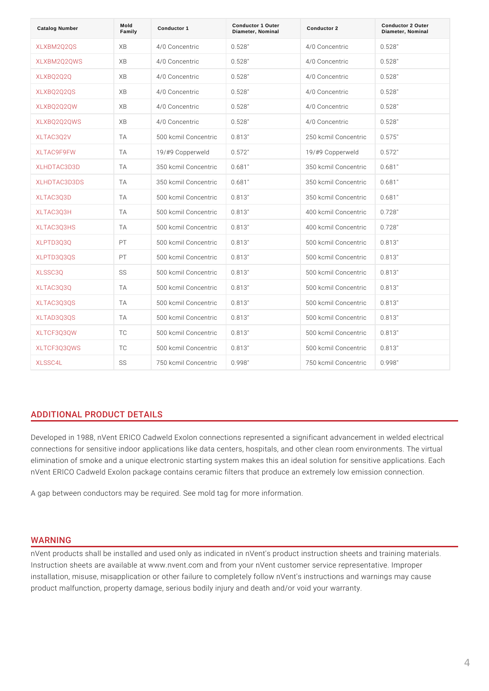| Catalog Number    | Mold<br>Family | Conductor 1               | Conductor 1 Outer<br>Diameter, Nominal | Conductor 2              | Conductor 2 Outer<br>Diameter, Nominal |
|-------------------|----------------|---------------------------|----------------------------------------|--------------------------|----------------------------------------|
| XLXBM2Q2QS        | XB             | 4/0 Concentric            | 0.528"                                 | 4/0 Concentric           | $0.528$ "                              |
| XLXBM2Q2QWS       | XB             | 4/0 Concentric 0.528"     |                                        | 4/0 Concentric 0.528"    |                                        |
| XLXBQ2Q2Q         | XB             | 4/0 Concentric            | 0.528"                                 | 4/0 Concentric 0.528"    |                                        |
| XLXBQ2Q2QS        | XB             | 4/0 Concentric 0.528"     |                                        | 4/0 Concentric 0.528"    |                                        |
| XLXBQ2Q2QW        | XB             | 4/0 Concentric            | 0.528"                                 | 4/0 Concentric 0.528"    |                                        |
| XLXBQ2Q2QWS       | XB             | 4/0 Concentric 0.528"     |                                        | 4/0 Concentric 0.528"    |                                        |
| XLTAC3Q2V         | T A            | 500 kcmil Conce0nt8r163"  |                                        | 250 kcmil Conce0nt5r76"  |                                        |
| <b>XLTAC9F9FW</b> | T A            | 19/#9 Copperwe0d572"      |                                        | 19/#9 Copperwe0d572"     |                                        |
| XLHDTAC3D3D       | T A            | 350 kcmil Conce0nt6r8d"   |                                        | 350 kcmil Conce0nt6r8d"  |                                        |
| XLHDTAC3D3DS      | T A            | 350 kcmil Conce0nt6r8d"   |                                        | 350 kcmil Conce0nt6r8d"  |                                        |
| XLTAC3Q3D         | T A            | 500 kcmil Conce0nt8r163"  |                                        | 350 kcmil Conce0nt6r8d"  |                                        |
| <b>XLTAC3Q3H</b>  | T A            | 500 kcmil Conce0nt8r163"  |                                        | 400 kcmil Conce0nt7r268" |                                        |
| <b>XLTAC3Q3HS</b> | T A            | 500 kcmil Conce0nt8r163"  |                                        | 400 kcmil Conce0nt7r268" |                                        |
| XLPTD3Q3Q         | P T            | 500 kcmil Conce0nt8r163"  |                                        | 500 kcmil Conce0nt8r163" |                                        |
| <b>XLPTD3Q3QS</b> | P T            | 500 kcmil Conce0nt8r163"  |                                        | 500 kcmil Conce0nt&r1&"  |                                        |
| XLSSC3Q           | S S            | 500 kcmil Conce0nt8r163"  |                                        | 500 kcmil Conce0nt8r163" |                                        |
| XLTAC3Q3Q         | T A            | 500 kcmil Conce0nt8r163"  |                                        | 500 kcmil Conce0nt8r163" |                                        |
| <b>XLTAC3Q3QS</b> | T A            | 500 kcmil Conce0nt8r163"  |                                        | 500 kcmil Conce0nt&r1&"  |                                        |
| <b>XLTAD3Q3QS</b> | T A            | 500 kcmil Conce0nt8r163"  |                                        | 500 kcmil Conce0nt8r163" |                                        |
| <b>XLTCF3Q3QW</b> | T C            | 500 kcmil Conce0nt8r163"  |                                        | 500 kcmil Conce0nt8r163" |                                        |
| XLTCF3Q3QWS       | T C            | 500 kcmil Conce0nt8r163"  |                                        | 500 kcmil Conce0nt8r163" |                                        |
| XLSSC4L           | S S            | 750 kcmil Conce0n.t9r9i&" |                                        | 750 kcmil Conce0nt9r9i&" |                                        |

# ADDITIONAL PRODUCT DETAILS

Developed in 1988, nVent ERICO Cadweld Exolon connections represented a sign connections for sensitive indoor applications like data centers, hospitals, and o elimination of smoke and a unique electronic starting system makes this an idea nVent ERICO Cadweld Exolon package contains ceramic filters that produce an e

A gap between conductors may be required. See mold tag for more information.

#### WARNING

nVent products shall be installed and used only as indicated in nVent's product Instruction sheets are available at www.nvent.com and from your nVent customer installation, misuse, misapplication or other failure to completely follow nVent's product malfunction, property damage, serious bodily injury and death and/or vo